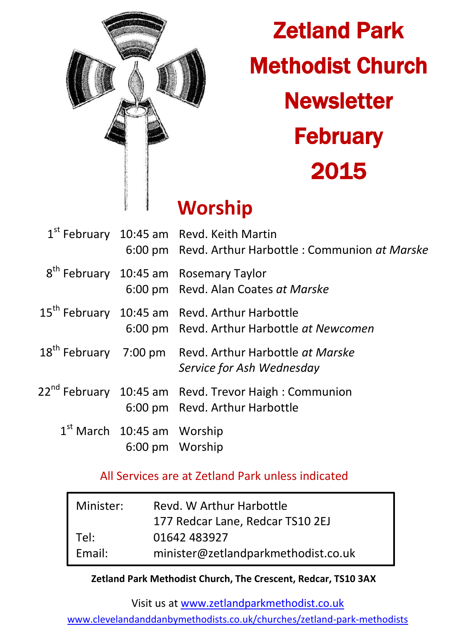

# Zetland Park Methodist Church **Newsletter February** 2015

# **Worship**

|                                | $1st$ February 10:45 am Revd. Keith Martin<br>6:00 pm Revd. Arthur Harbottle: Communion at Marske       |
|--------------------------------|---------------------------------------------------------------------------------------------------------|
|                                | 8 <sup>th</sup> February 10:45 am Rosemary Taylor<br>6:00 pm Revd. Alan Coates at Marske                |
|                                | 15 <sup>th</sup> February 10:45 am Revd. Arthur Harbottle<br>6:00 pm Revd. Arthur Harbottle at Newcomen |
|                                | 18 <sup>th</sup> February 7:00 pm Revd. Arthur Harbottle at Marske<br>Service for Ash Wednesday         |
|                                | 22 <sup>nd</sup> February 10:45 am Revd. Trevor Haigh : Communion<br>6:00 pm Revd. Arthur Harbottle     |
| $1st$ March $10:45$ am Worship | 6:00 pm Worship                                                                                         |

### All Services are at Zetland Park unless indicated

| Minister: | Revd. W Arthur Harbottle            |  |
|-----------|-------------------------------------|--|
|           | 177 Redcar Lane, Redcar TS10 2EJ    |  |
| Tel:      | 01642 483927                        |  |
| Email:    | minister@zetlandparkmethodist.co.uk |  |

#### **Zetland Park Methodist Church, The Crescent, Redcar, TS10 3AX**

Visit us at [www.zetlandparkmethodist.co.uk](file:///X:/Zetland%20Park/Newsletters/www.zetlandparkmethodist.co.uk)

[www.clevelandanddanbymethodists.co.uk/churches/zetland-park-methodists](http://www.clevelandanddanbymethodists.co.uk/churches/zetland-park-methodists)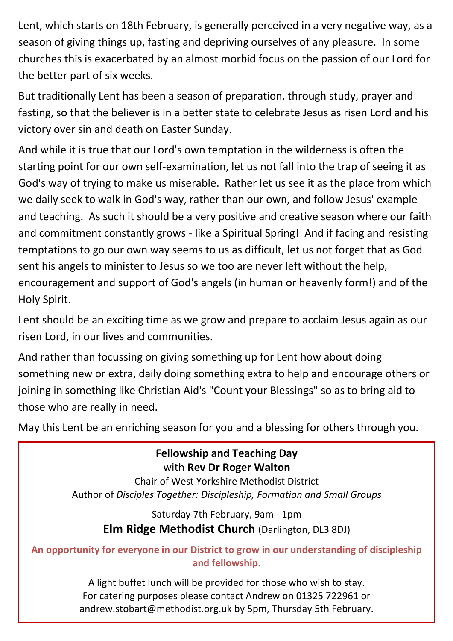Lent, which starts on 18th February, is generally perceived in a very negative way, as a season of giving things up, fasting and depriving ourselves of any pleasure. In some churches this is exacerbated by an almost morbid focus on the passion of our Lord for the better part of six weeks.

But traditionally Lent has been a season of preparation, through study, prayer and fasting, so that the believer is in a better state to celebrate Jesus as risen Lord and his victory over sin and death on Easter Sunday.

And while it is true that our Lord's own temptation in the wilderness is often the starting point for our own self-examination, let us not fall into the trap of seeing it as God's way of trying to make us miserable. Rather let us see it as the place from which we daily seek to walk in God's way, rather than our own, and follow Jesus' example and teaching. As such it should be a very positive and creative season where our faith and commitment constantly grows - like a Spiritual Spring! And if facing and resisting temptations to go our own way seems to us as difficult, let us not forget that as God sent his angels to minister to Jesus so we too are never left without the help, encouragement and support of God's angels (in human or heavenly form!) and of the Holy Spirit.

Lent should be an exciting time as we grow and prepare to acclaim Jesus again as our risen Lord, in our lives and communities.

And rather than focussing on giving something up for Lent how about doing something new or extra, daily doing something extra to help and encourage others or joining in something like Christian Aid's "Count your Blessings" so as to bring aid to those who are really in need.

May this Lent be an enriching season for you and a blessing for others through you.

**Fellowship and Teaching Day** with **Rev Dr Roger Walton**

Chair of West Yorkshire Methodist District Author of *Disciples Together: Discipleship, Formation and Small Groups*

Saturday 7th February, 9am - 1pm **Elm Ridge Methodist Church** (Darlington, DL3 8DJ)

**An opportunity for everyone in our District to grow in our understanding of discipleship and fellowship.** 

> A light buffet lunch will be provided for those who wish to stay. For catering purposes please contact Andrew on 01325 722961 or andrew.stobart@methodist.org.uk by 5pm, Thursday 5th February.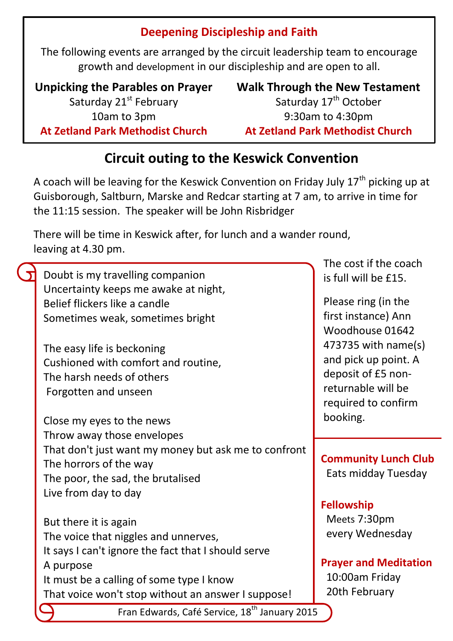### **Deepening Discipleship and Faith**

The following events are arranged by the circuit leadership team to encourage growth and development in our discipleship and are open to all.

**Unpicking the Parables on Prayer** Saturday 21<sup>st</sup> February 10am to 3pm **At Zetland Park Methodist Church**

**Walk Through the New Testament** Saturday 17<sup>th</sup> October 9:30am to 4:30pm **At Zetland Park Methodist Church**

 $\sim$  cost if the coach

## **Circuit outing to the Keswick Convention**

A coach will be leaving for the Keswick Convention on Friday July  $17<sup>th</sup>$  picking up at Guisborough, Saltburn, Marske and Redcar starting at 7 am, to arrive in time for the 11:15 session. The speaker will be John Risbridger

There will be time in Keswick after, for lunch and a wander round, leaving at 4.30 pm.

|                                                                                                | THE COST IT THE COULT        |
|------------------------------------------------------------------------------------------------|------------------------------|
| Doubt is my travelling companion                                                               | is full will be £15.         |
| Uncertainty keeps me awake at night,                                                           |                              |
| Belief flickers like a candle                                                                  | Please ring (in the          |
| Sometimes weak, sometimes bright                                                               | first instance) Ann          |
|                                                                                                | Woodhouse 01642              |
| The easy life is beckoning                                                                     | 473735 with name(s)          |
| Cushioned with comfort and routine,                                                            | and pick up point. A         |
| The harsh needs of others                                                                      | deposit of £5 non-           |
| Forgotten and unseen                                                                           | returnable will be           |
|                                                                                                | required to confirm          |
|                                                                                                | booking.                     |
| Close my eyes to the news                                                                      |                              |
| Throw away those envelopes                                                                     |                              |
| That don't just want my money but ask me to confront                                           | <b>Community Lunch Club</b>  |
| The horrors of the way                                                                         | Eats midday Tuesday          |
| The poor, the sad, the brutalised                                                              |                              |
| Live from day to day                                                                           |                              |
|                                                                                                | <b>Fellowship</b>            |
| But there it is again                                                                          | Meets 7:30pm                 |
| The voice that niggles and unnerves,                                                           | every Wednesday              |
|                                                                                                |                              |
|                                                                                                |                              |
| It says I can't ignore the fact that I should serve<br>A purpose                               | <b>Prayer and Meditation</b> |
|                                                                                                | 10:00am Friday               |
| It must be a calling of some type I know<br>That voice won't stop without an answer I suppose! | 20th February                |